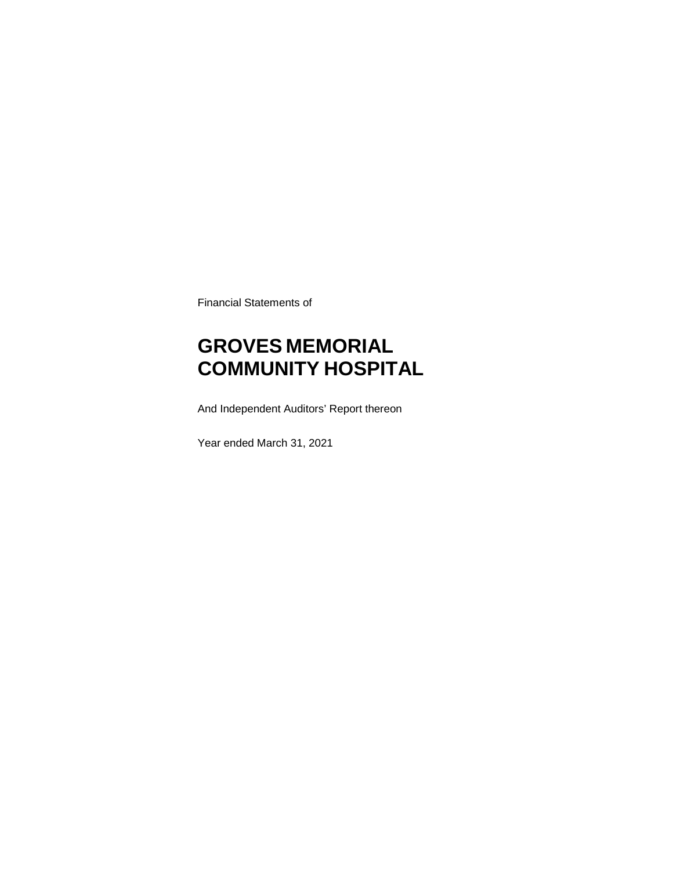Financial Statements of

# **GROVES MEMORIAL COMMUNITY HOSPITAL**

And Independent Auditors' Report thereon

Year ended March 31, 2021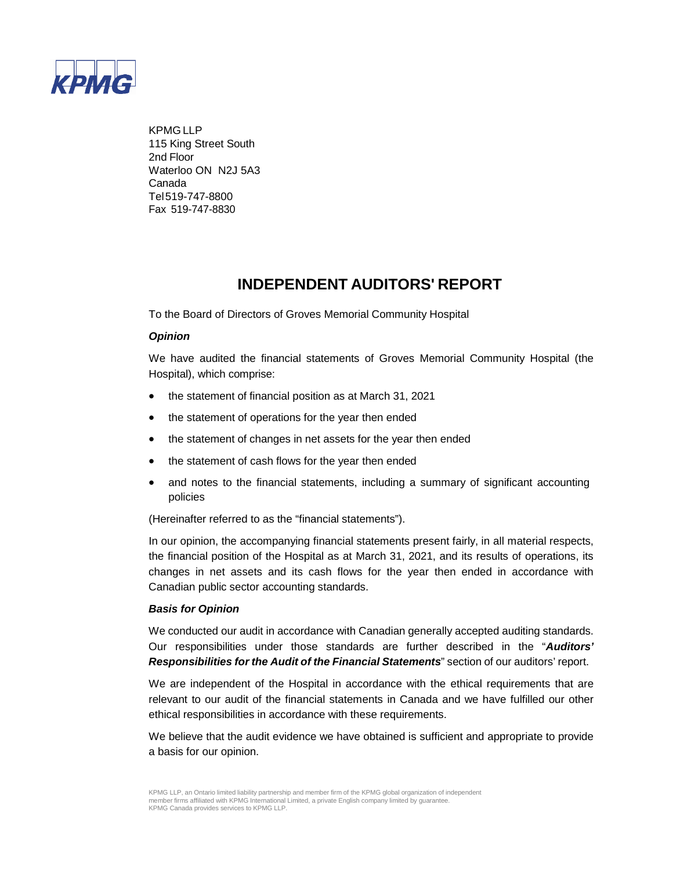

KPMG LLP 115 King Street South 2nd Floor Waterloo ON N2J 5A3 Canada Tel519-747-8800 Fax 519-747-8830

# **INDEPENDENT AUDITORS' REPORT**

To the Board of Directors of Groves Memorial Community Hospital

#### *Opinion*

We have audited the financial statements of Groves Memorial Community Hospital (the Hospital), which comprise:

- the statement of financial position as at March 31, 2021
- the statement of operations for the year then ended
- the statement of changes in net assets for the year then ended
- the statement of cash flows for the year then ended
- and notes to the financial statements, including a summary of significant accounting policies

(Hereinafter referred to as the "financial statements").

In our opinion, the accompanying financial statements present fairly, in all material respects, the financial position of the Hospital as at March 31, 2021, and its results of operations, its changes in net assets and its cash flows for the year then ended in accordance with Canadian public sector accounting standards.

#### *Basis for Opinion*

We conducted our audit in accordance with Canadian generally accepted auditing standards. Our responsibilities under those standards are further described in the "*Auditors' Responsibilities for the Audit of the Financial Statements*" section of our auditors' report.

We are independent of the Hospital in accordance with the ethical requirements that are relevant to our audit of the financial statements in Canada and we have fulfilled our other ethical responsibilities in accordance with these requirements.

We believe that the audit evidence we have obtained is sufficient and appropriate to provide a basis for our opinion.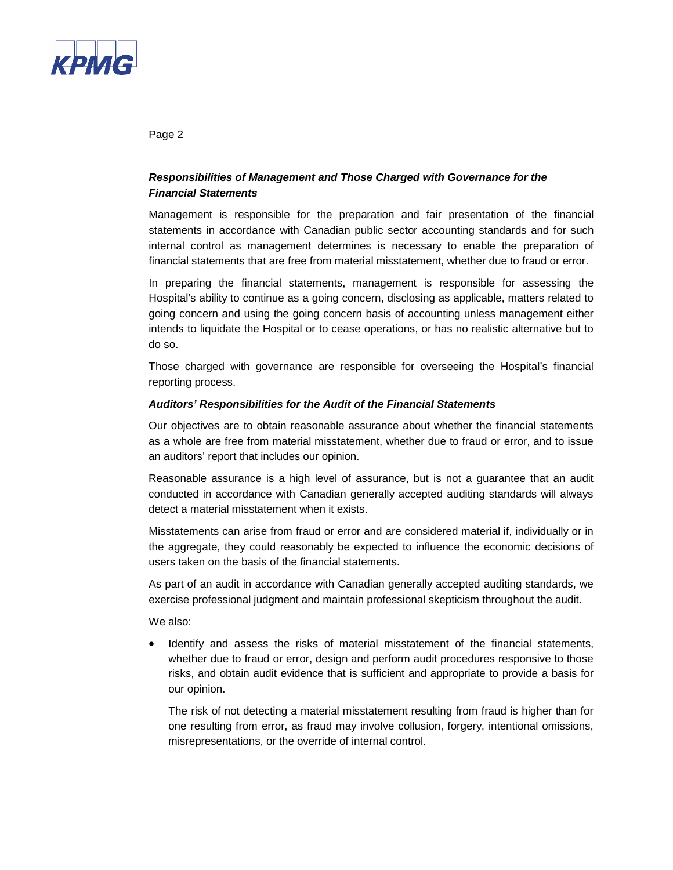

Page 2

#### *Responsibilities of Management and Those Charged with Governance for the Financial Statements*

Management is responsible for the preparation and fair presentation of the financial statements in accordance with Canadian public sector accounting standards and for such internal control as management determines is necessary to enable the preparation of financial statements that are free from material misstatement, whether due to fraud or error.

In preparing the financial statements, management is responsible for assessing the Hospital's ability to continue as a going concern, disclosing as applicable, matters related to going concern and using the going concern basis of accounting unless management either intends to liquidate the Hospital or to cease operations, or has no realistic alternative but to do so.

Those charged with governance are responsible for overseeing the Hospital's financial reporting process.

#### *Auditors' Responsibilities for the Audit of the Financial Statements*

Our objectives are to obtain reasonable assurance about whether the financial statements as a whole are free from material misstatement, whether due to fraud or error, and to issue an auditors' report that includes our opinion.

Reasonable assurance is a high level of assurance, but is not a guarantee that an audit conducted in accordance with Canadian generally accepted auditing standards will always detect a material misstatement when it exists.

Misstatements can arise from fraud or error and are considered material if, individually or in the aggregate, they could reasonably be expected to influence the economic decisions of users taken on the basis of the financial statements.

As part of an audit in accordance with Canadian generally accepted auditing standards, we exercise professional judgment and maintain professional skepticism throughout the audit.

We also:

• Identify and assess the risks of material misstatement of the financial statements, whether due to fraud or error, design and perform audit procedures responsive to those risks, and obtain audit evidence that is sufficient and appropriate to provide a basis for our opinion.

The risk of not detecting a material misstatement resulting from fraud is higher than for one resulting from error, as fraud may involve collusion, forgery, intentional omissions, misrepresentations, or the override of internal control.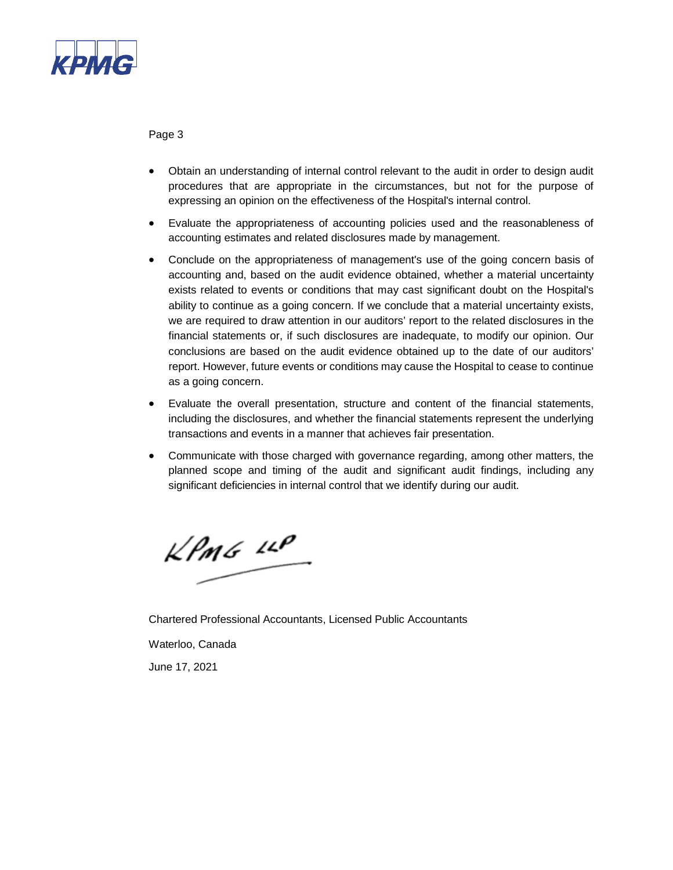

Page 3

- Obtain an understanding of internal control relevant to the audit in order to design audit procedures that are appropriate in the circumstances, but not for the purpose of expressing an opinion on the effectiveness of the Hospital's internal control.
- Evaluate the appropriateness of accounting policies used and the reasonableness of accounting estimates and related disclosures made by management.
- Conclude on the appropriateness of management's use of the going concern basis of accounting and, based on the audit evidence obtained, whether a material uncertainty exists related to events or conditions that may cast significant doubt on the Hospital's ability to continue as a going concern. If we conclude that a material uncertainty exists, we are required to draw attention in our auditors' report to the related disclosures in the financial statements or, if such disclosures are inadequate, to modify our opinion. Our conclusions are based on the audit evidence obtained up to the date of our auditors' report. However, future events or conditions may cause the Hospital to cease to continue as a going concern.
- Evaluate the overall presentation, structure and content of the financial statements, including the disclosures, and whether the financial statements represent the underlying transactions and events in a manner that achieves fair presentation.
- Communicate with those charged with governance regarding, among other matters, the planned scope and timing of the audit and significant audit findings, including any significant deficiencies in internal control that we identify during our audit.

 $KPMG$  LLP

Chartered Professional Accountants, Licensed Public Accountants Waterloo, Canada

June 17, 2021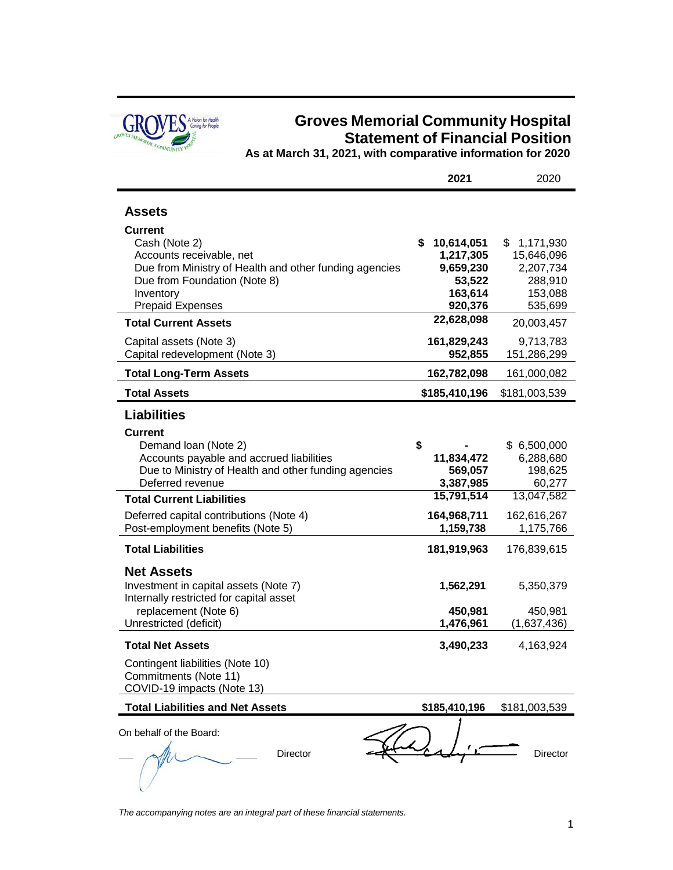

# **Groves Memorial Community Hospital Statement of Financial Position**

**As at March 31, 2021, with comparative information for 2020**

|                                                                                                                                                                | 2021                                                            | 2020                                                             |
|----------------------------------------------------------------------------------------------------------------------------------------------------------------|-----------------------------------------------------------------|------------------------------------------------------------------|
| <b>Assets</b><br>Current                                                                                                                                       |                                                                 |                                                                  |
| Cash (Note 2)<br>Accounts receivable, net<br>Due from Ministry of Health and other funding agencies<br>Due from Foundation (Note 8)<br>Inventory               | \$<br>10,614,051<br>1,217,305<br>9,659,230<br>53,522<br>163,614 | \$<br>1,171,930<br>15,646,096<br>2,207,734<br>288,910<br>153,088 |
| <b>Prepaid Expenses</b><br><b>Total Current Assets</b>                                                                                                         | 920,376<br>22,628,098                                           | 535,699<br>20,003,457                                            |
| Capital assets (Note 3)<br>Capital redevelopment (Note 3)                                                                                                      | 161,829,243<br>952,855                                          | 9,713,783<br>151,286,299                                         |
| <b>Total Long-Term Assets</b>                                                                                                                                  | 162,782,098                                                     | 161,000,082                                                      |
| <b>Total Assets</b>                                                                                                                                            | \$185,410,196                                                   | \$181,003,539                                                    |
| <b>Liabilities</b>                                                                                                                                             |                                                                 |                                                                  |
| <b>Current</b><br>Demand Ioan (Note 2)<br>Accounts payable and accrued liabilities<br>Due to Ministry of Health and other funding agencies<br>Deferred revenue | \$<br>11,834,472<br>569,057<br>3,387,985                        | \$6,500,000<br>6,288,680<br>198,625<br>60,277                    |
| <b>Total Current Liabilities</b>                                                                                                                               | 15,791,514                                                      | 13,047,582                                                       |
| Deferred capital contributions (Note 4)<br>Post-employment benefits (Note 5)                                                                                   | 164,968,711<br>1,159,738                                        | 162,616,267<br>1,175,766                                         |
| <b>Total Liabilities</b>                                                                                                                                       | 181,919,963                                                     | 176,839,615                                                      |
| <b>Net Assets</b><br>Investment in capital assets (Note 7)<br>Internally restricted for capital asset<br>replacement (Note 6)                                  | 1,562,291<br>450,981                                            | 5,350,379<br>450,981                                             |
| Unrestricted (deficit)                                                                                                                                         | 1,476,961                                                       | (1,637,436)                                                      |
| <b>Total Net Assets</b>                                                                                                                                        | 3,490,233                                                       | 4,163,924                                                        |
| Contingent liabilities (Note 10)<br>Commitments (Note 11)<br>COVID-19 impacts (Note 13)                                                                        |                                                                 |                                                                  |
| <b>Total Liabilities and Net Assets</b>                                                                                                                        | \$185,410,196                                                   | \$181,003,539                                                    |
| On behalf of the Board:<br>Director                                                                                                                            |                                                                 | Director                                                         |

*The accompanying notes are an integral part of these financial statements.*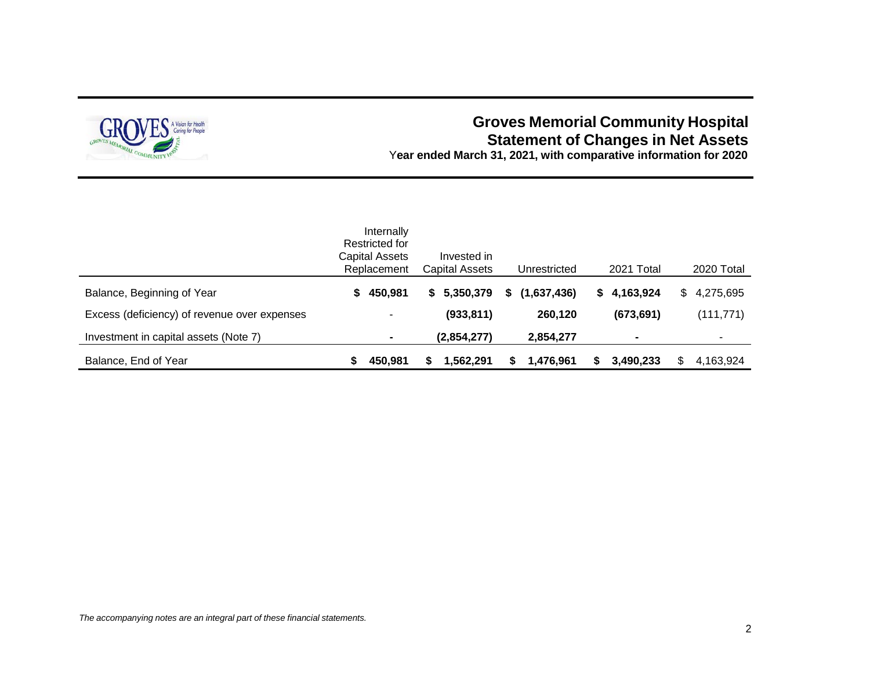

# **Groves Memorial Community Hospital Statement of Changes in Net Assets**

Y**ear ended March 31, 2021, with comparative information for 2020**

|                                              | Internally<br>Restricted for<br>Capital Assets<br>Replacement | Invested in<br>Capital Assets | Unrestricted      | 2021 Total      | 2020 Total       |
|----------------------------------------------|---------------------------------------------------------------|-------------------------------|-------------------|-----------------|------------------|
| Balance, Beginning of Year                   | 450,981<br>S.                                                 | 5,350,379<br>S.               | (1,637,436)<br>S. | 4,163,924<br>S. | 4,275,695<br>\$. |
| Excess (deficiency) of revenue over expenses |                                                               | (933, 811)                    | 260,120           | (673, 691)      | (111, 771)       |
| Investment in capital assets (Note 7)        |                                                               | (2,854,277)                   | 2,854,277         | $\blacksquare$  |                  |
| Balance, End of Year                         | 450,981                                                       | 1,562,291                     | 1,476,961<br>S    | 3,490,233       | 4,163,924        |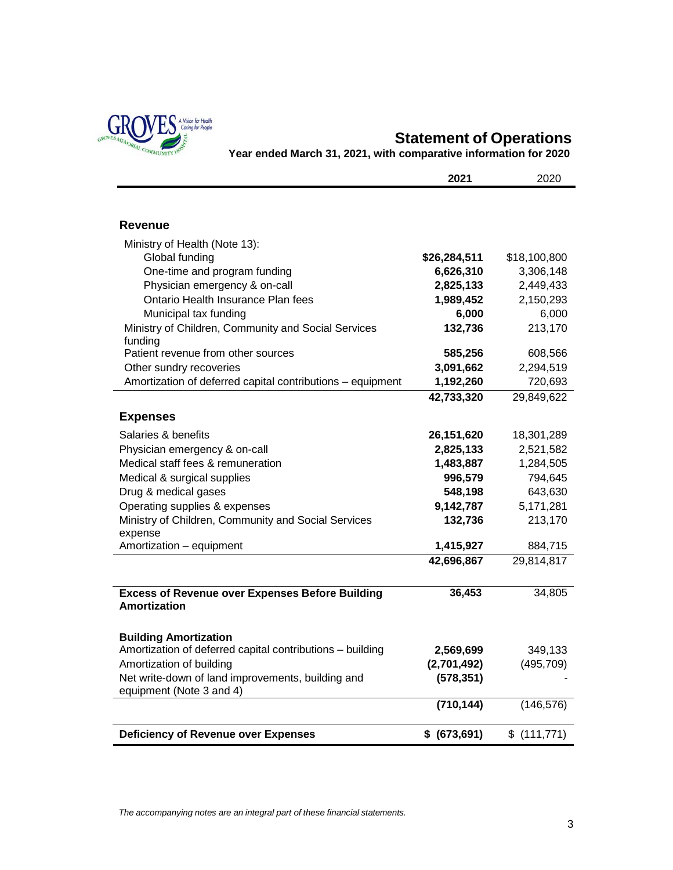

# **Statement of Operations**

**Year ended March 31, 2021, with comparative information for 2020**

|                                                            | 2021          | 2020         |
|------------------------------------------------------------|---------------|--------------|
|                                                            |               |              |
|                                                            |               |              |
| Revenue                                                    |               |              |
| Ministry of Health (Note 13):                              |               |              |
| Global funding                                             | \$26,284,511  | \$18,100,800 |
| One-time and program funding                               | 6,626,310     | 3,306,148    |
| Physician emergency & on-call                              | 2,825,133     | 2,449,433    |
| Ontario Health Insurance Plan fees                         | 1,989,452     | 2,150,293    |
| Municipal tax funding                                      | 6,000         | 6,000        |
| Ministry of Children, Community and Social Services        | 132,736       | 213,170      |
| funding                                                    |               |              |
| Patient revenue from other sources                         | 585,256       | 608,566      |
| Other sundry recoveries                                    | 3,091,662     | 2,294,519    |
| Amortization of deferred capital contributions - equipment | 1,192,260     | 720,693      |
|                                                            | 42,733,320    | 29,849,622   |
| <b>Expenses</b>                                            |               |              |
| Salaries & benefits                                        | 26,151,620    | 18,301,289   |
| Physician emergency & on-call                              | 2,825,133     | 2,521,582    |
| Medical staff fees & remuneration                          | 1,483,887     | 1,284,505    |
| Medical & surgical supplies                                | 996,579       | 794,645      |
| Drug & medical gases                                       | 548,198       | 643,630      |
| Operating supplies & expenses                              | 9,142,787     | 5,171,281    |
| Ministry of Children, Community and Social Services        | 132,736       | 213,170      |
| expense                                                    |               |              |
| Amortization - equipment                                   | 1,415,927     | 884,715      |
|                                                            | 42,696,867    | 29,814,817   |
|                                                            |               |              |
| <b>Excess of Revenue over Expenses Before Building</b>     | 36,453        | 34,805       |
| Amortization                                               |               |              |
|                                                            |               |              |
| <b>Building Amortization</b>                               |               |              |
| Amortization of deferred capital contributions - building  | 2,569,699     | 349,133      |
| Amortization of building                                   | (2,701,492)   | (495, 709)   |
| Net write-down of land improvements, building and          | (578, 351)    |              |
| equipment (Note 3 and 4)                                   |               |              |
|                                                            | (710, 144)    | (146, 576)   |
|                                                            |               |              |
| <b>Deficiency of Revenue over Expenses</b>                 | \$ (673, 691) | \$(111,771)  |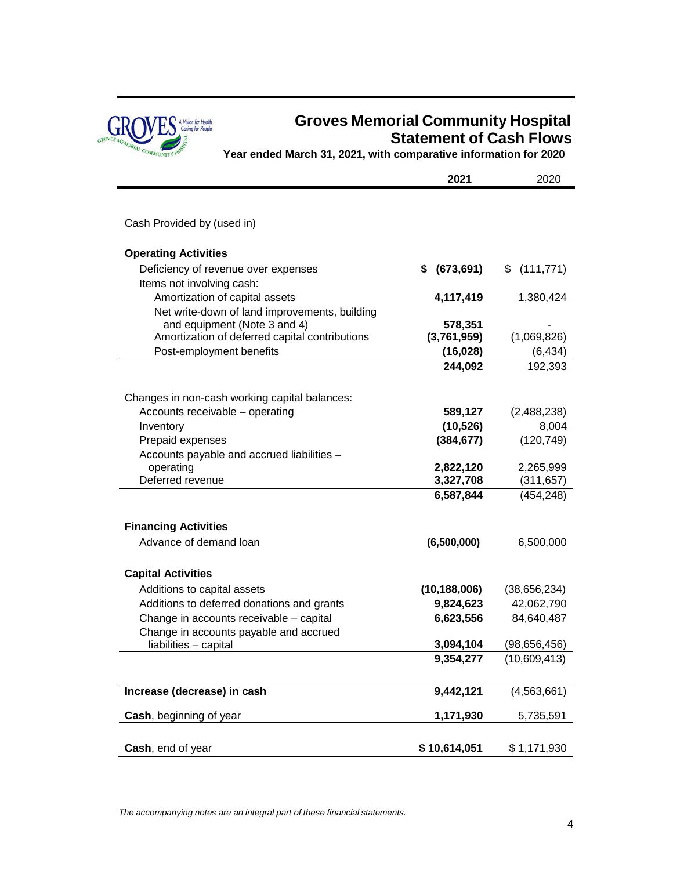

# **Groves Memorial Community Hospital Statement of Cash Flows**

**Year ended March 31, 2021, with comparative information for 2020**

|                                                                               | 2021                   | 2020                           |
|-------------------------------------------------------------------------------|------------------------|--------------------------------|
|                                                                               |                        |                                |
| Cash Provided by (used in)                                                    |                        |                                |
| <b>Operating Activities</b>                                                   |                        |                                |
| Deficiency of revenue over expenses<br>Items not involving cash:              | (673, 691)<br>S        | (111, 771)<br>\$               |
| Amortization of capital assets                                                | 4,117,419              | 1,380,424                      |
| Net write-down of land improvements, building<br>and equipment (Note 3 and 4) | 578,351                |                                |
| Amortization of deferred capital contributions                                | (3,761,959)            | (1,069,826)                    |
| Post-employment benefits                                                      | (16, 028)              | (6, 434)                       |
|                                                                               | 244,092                | 192,393                        |
| Changes in non-cash working capital balances:                                 |                        |                                |
| Accounts receivable - operating                                               | 589,127                | (2,488,238)                    |
| Inventory                                                                     | (10, 526)              | 8,004                          |
| Prepaid expenses                                                              | (384, 677)             | (120, 749)                     |
| Accounts payable and accrued liabilities -<br>operating                       | 2,822,120              | 2,265,999                      |
| Deferred revenue                                                              | 3,327,708              | (311, 657)                     |
|                                                                               | 6,587,844              | (454, 248)                     |
| <b>Financing Activities</b>                                                   |                        |                                |
| Advance of demand loan                                                        | (6,500,000)            | 6,500,000                      |
| <b>Capital Activities</b>                                                     |                        |                                |
| Additions to capital assets                                                   | (10, 188, 006)         | (38, 656, 234)                 |
| Additions to deferred donations and grants                                    | 9,824,623              | 42,062,790                     |
| Change in accounts receivable - capital                                       | 6,623,556              | 84,640,487                     |
| Change in accounts payable and accrued                                        |                        |                                |
| liabilities - capital                                                         | 3,094,104<br>9,354,277 | (98, 656, 456)<br>(10,609,413) |
|                                                                               |                        |                                |
| Increase (decrease) in cash                                                   | 9,442,121              | (4, 563, 661)                  |
| Cash, beginning of year                                                       | 1,171,930              | 5,735,591                      |
| Cash, end of year                                                             | \$10,614,051           | \$1,171,930                    |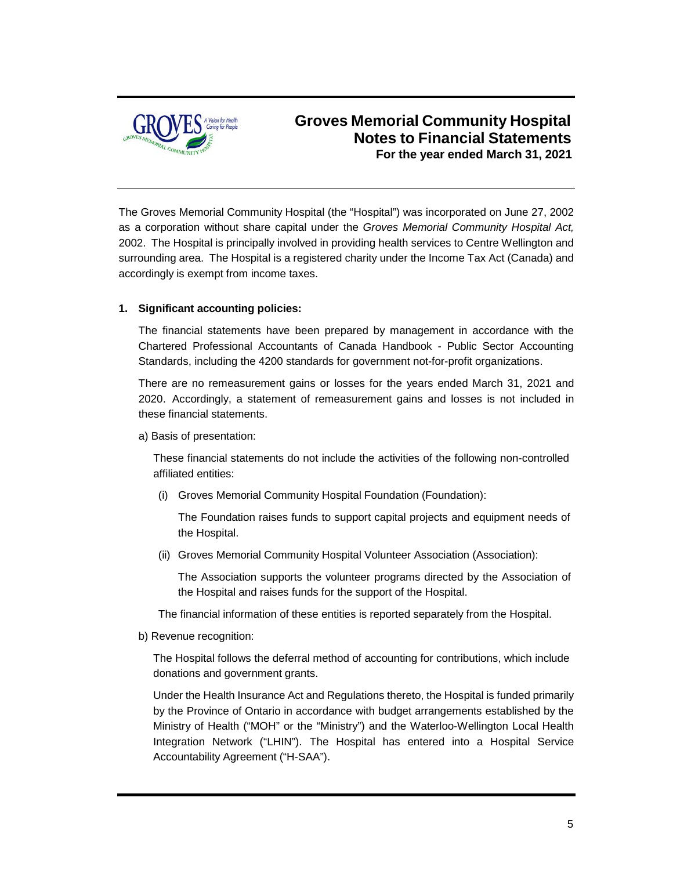

The Groves Memorial Community Hospital (the "Hospital") was incorporated on June 27, 2002 as a corporation without share capital under the *Groves Memorial Community Hospital Act,* 2002. The Hospital is principally involved in providing health services to Centre Wellington and surrounding area. The Hospital is a registered charity under the Income Tax Act (Canada) and accordingly is exempt from income taxes.

#### **1. Significant accounting policies:**

The financial statements have been prepared by management in accordance with the Chartered Professional Accountants of Canada Handbook - Public Sector Accounting Standards, including the 4200 standards for government not-for-profit organizations.

There are no remeasurement gains or losses for the years ended March 31, 2021 and 2020. Accordingly, a statement of remeasurement gains and losses is not included in these financial statements.

a) Basis of presentation:

These financial statements do not include the activities of the following non-controlled affiliated entities:

(i) Groves Memorial Community Hospital Foundation (Foundation):

The Foundation raises funds to support capital projects and equipment needs of the Hospital.

(ii) Groves Memorial Community Hospital Volunteer Association (Association):

The Association supports the volunteer programs directed by the Association of the Hospital and raises funds for the support of the Hospital.

The financial information of these entities is reported separately from the Hospital.

b) Revenue recognition:

The Hospital follows the deferral method of accounting for contributions, which include donations and government grants.

Under the Health Insurance Act and Regulations thereto, the Hospital is funded primarily by the Province of Ontario in accordance with budget arrangements established by the Ministry of Health ("MOH" or the "Ministry") and the Waterloo-Wellington Local Health Integration Network ("LHIN"). The Hospital has entered into a Hospital Service Accountability Agreement ("H-SAA").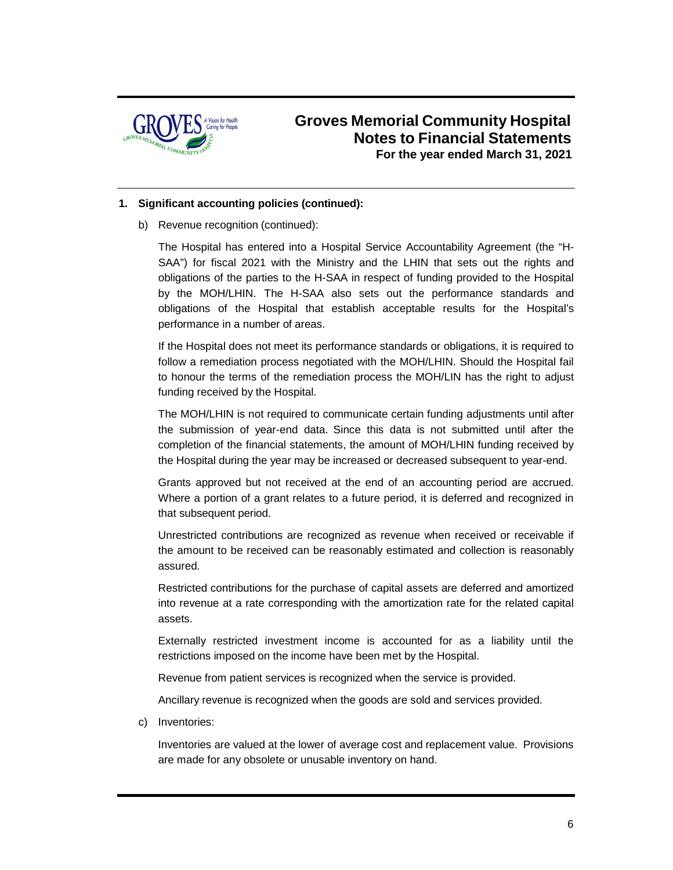

#### **1. Significant accounting policies (continued):**

b) Revenue recognition (continued):

The Hospital has entered into a Hospital Service Accountability Agreement (the "H-SAA") for fiscal 2021 with the Ministry and the LHIN that sets out the rights and obligations of the parties to the H-SAA in respect of funding provided to the Hospital by the MOH/LHIN. The H-SAA also sets out the performance standards and obligations of the Hospital that establish acceptable results for the Hospital's performance in a number of areas.

If the Hospital does not meet its performance standards or obligations, it is required to follow a remediation process negotiated with the MOH/LHIN. Should the Hospital fail to honour the terms of the remediation process the MOH/LIN has the right to adjust funding received by the Hospital.

The MOH/LHIN is not required to communicate certain funding adjustments until after the submission of year-end data. Since this data is not submitted until after the completion of the financial statements, the amount of MOH/LHIN funding received by the Hospital during the year may be increased or decreased subsequent to year-end.

Grants approved but not received at the end of an accounting period are accrued. Where a portion of a grant relates to a future period, it is deferred and recognized in that subsequent period.

Unrestricted contributions are recognized as revenue when received or receivable if the amount to be received can be reasonably estimated and collection is reasonably assured.

Restricted contributions for the purchase of capital assets are deferred and amortized into revenue at a rate corresponding with the amortization rate for the related capital assets.

Externally restricted investment income is accounted for as a liability until the restrictions imposed on the income have been met by the Hospital.

Revenue from patient services is recognized when the service is provided.

Ancillary revenue is recognized when the goods are sold and services provided.

c) Inventories:

Inventories are valued at the lower of average cost and replacement value. Provisions are made for any obsolete or unusable inventory on hand.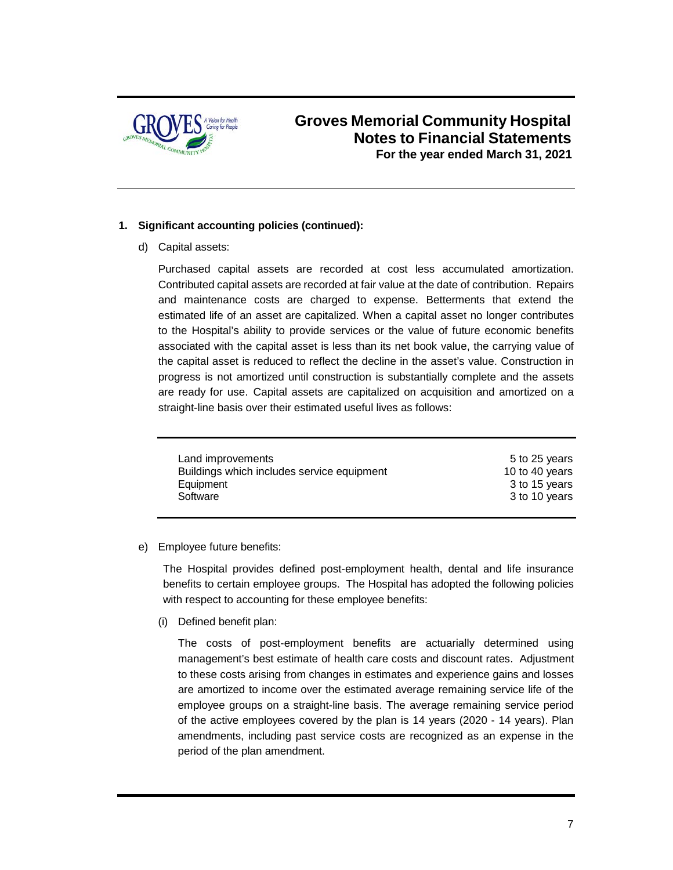

#### **1. Significant accounting policies (continued):**

d) Capital assets:

Purchased capital assets are recorded at cost less accumulated amortization. Contributed capital assets are recorded at fair value at the date of contribution. Repairs and maintenance costs are charged to expense. Betterments that extend the estimated life of an asset are capitalized. When a capital asset no longer contributes to the Hospital's ability to provide services or the value of future economic benefits associated with the capital asset is less than its net book value, the carrying value of the capital asset is reduced to reflect the decline in the asset's value. Construction in progress is not amortized until construction is substantially complete and the assets are ready for use. Capital assets are capitalized on acquisition and amortized on a straight-line basis over their estimated useful lives as follows:

| Land improvements                          | 5 to 25 years  |
|--------------------------------------------|----------------|
| Buildings which includes service equipment | 10 to 40 years |
| Equipment                                  | 3 to 15 years  |
| Software                                   | 3 to 10 years  |
|                                            |                |

#### e) Employee future benefits:

The Hospital provides defined post-employment health, dental and life insurance benefits to certain employee groups. The Hospital has adopted the following policies with respect to accounting for these employee benefits:

(i) Defined benefit plan:

The costs of post-employment benefits are actuarially determined using management's best estimate of health care costs and discount rates. Adjustment to these costs arising from changes in estimates and experience gains and losses are amortized to income over the estimated average remaining service life of the employee groups on a straight-line basis. The average remaining service period of the active employees covered by the plan is 14 years (2020 - 14 years). Plan amendments, including past service costs are recognized as an expense in the period of the plan amendment.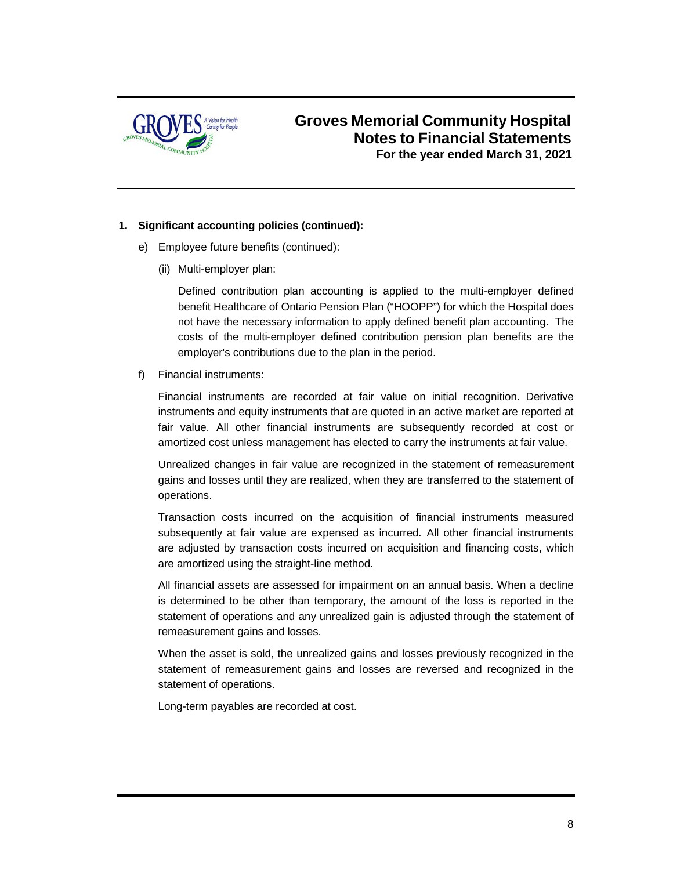

#### **1. Significant accounting policies (continued):**

- e) Employee future benefits (continued):
	- (ii) Multi-employer plan:

Defined contribution plan accounting is applied to the multi-employer defined benefit Healthcare of Ontario Pension Plan ("HOOPP") for which the Hospital does not have the necessary information to apply defined benefit plan accounting. The costs of the multi-employer defined contribution pension plan benefits are the employer's contributions due to the plan in the period.

f) Financial instruments:

Financial instruments are recorded at fair value on initial recognition. Derivative instruments and equity instruments that are quoted in an active market are reported at fair value. All other financial instruments are subsequently recorded at cost or amortized cost unless management has elected to carry the instruments at fair value.

Unrealized changes in fair value are recognized in the statement of remeasurement gains and losses until they are realized, when they are transferred to the statement of operations.

Transaction costs incurred on the acquisition of financial instruments measured subsequently at fair value are expensed as incurred. All other financial instruments are adjusted by transaction costs incurred on acquisition and financing costs, which are amortized using the straight-line method.

All financial assets are assessed for impairment on an annual basis. When a decline is determined to be other than temporary, the amount of the loss is reported in the statement of operations and any unrealized gain is adjusted through the statement of remeasurement gains and losses.

When the asset is sold, the unrealized gains and losses previously recognized in the statement of remeasurement gains and losses are reversed and recognized in the statement of operations.

Long-term payables are recorded at cost.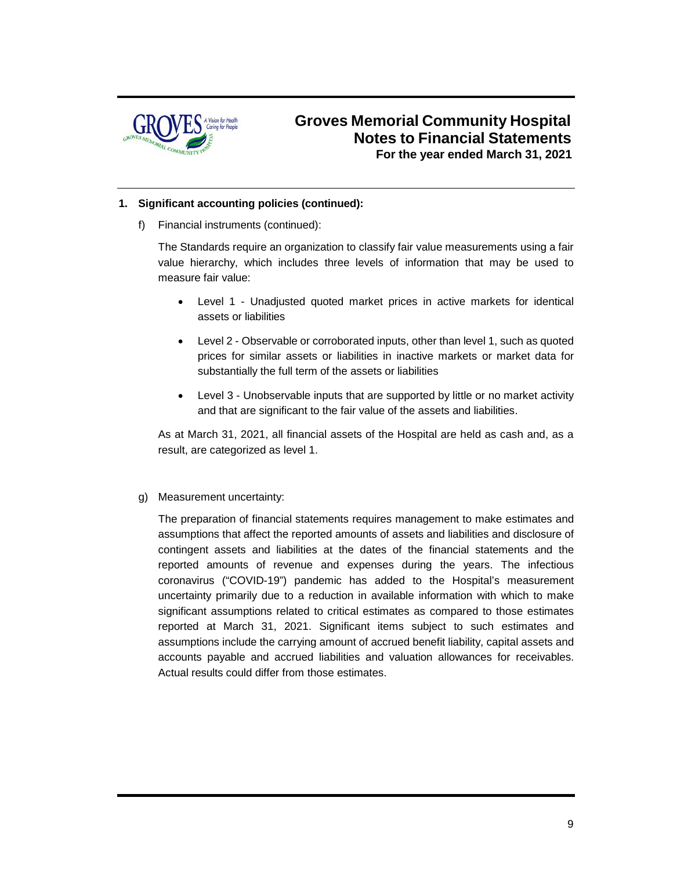

#### **1. Significant accounting policies (continued):**

f) Financial instruments (continued):

The Standards require an organization to classify fair value measurements using a fair value hierarchy, which includes three levels of information that may be used to measure fair value:

- Level 1 Unadjusted quoted market prices in active markets for identical assets or liabilities
- Level 2 Observable or corroborated inputs, other than level 1, such as quoted prices for similar assets or liabilities in inactive markets or market data for substantially the full term of the assets or liabilities
- Level 3 Unobservable inputs that are supported by little or no market activity and that are significant to the fair value of the assets and liabilities.

As at March 31, 2021, all financial assets of the Hospital are held as cash and, as a result, are categorized as level 1.

#### g) Measurement uncertainty:

The preparation of financial statements requires management to make estimates and assumptions that affect the reported amounts of assets and liabilities and disclosure of contingent assets and liabilities at the dates of the financial statements and the reported amounts of revenue and expenses during the years. The infectious coronavirus ("COVID-19") pandemic has added to the Hospital's measurement uncertainty primarily due to a reduction in available information with which to make significant assumptions related to critical estimates as compared to those estimates reported at March 31, 2021. Significant items subject to such estimates and assumptions include the carrying amount of accrued benefit liability, capital assets and accounts payable and accrued liabilities and valuation allowances for receivables. Actual results could differ from those estimates.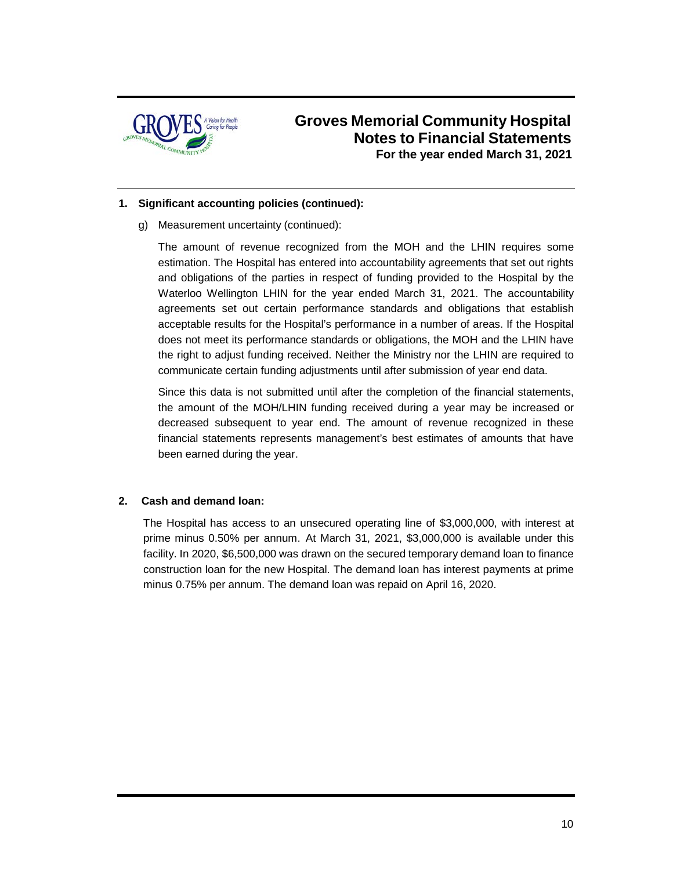

#### **1. Significant accounting policies (continued):**

g) Measurement uncertainty (continued):

The amount of revenue recognized from the MOH and the LHIN requires some estimation. The Hospital has entered into accountability agreements that set out rights and obligations of the parties in respect of funding provided to the Hospital by the Waterloo Wellington LHIN for the year ended March 31, 2021. The accountability agreements set out certain performance standards and obligations that establish acceptable results for the Hospital's performance in a number of areas. If the Hospital does not meet its performance standards or obligations, the MOH and the LHIN have the right to adjust funding received. Neither the Ministry nor the LHIN are required to communicate certain funding adjustments until after submission of year end data.

Since this data is not submitted until after the completion of the financial statements, the amount of the MOH/LHIN funding received during a year may be increased or decreased subsequent to year end. The amount of revenue recognized in these financial statements represents management's best estimates of amounts that have been earned during the year.

#### **2. Cash and demand loan:**

The Hospital has access to an unsecured operating line of \$3,000,000, with interest at prime minus 0.50% per annum. At March 31, 2021, \$3,000,000 is available under this facility. In 2020, \$6,500,000 was drawn on the secured temporary demand loan to finance construction loan for the new Hospital. The demand loan has interest payments at prime minus 0.75% per annum. The demand loan was repaid on April 16, 2020.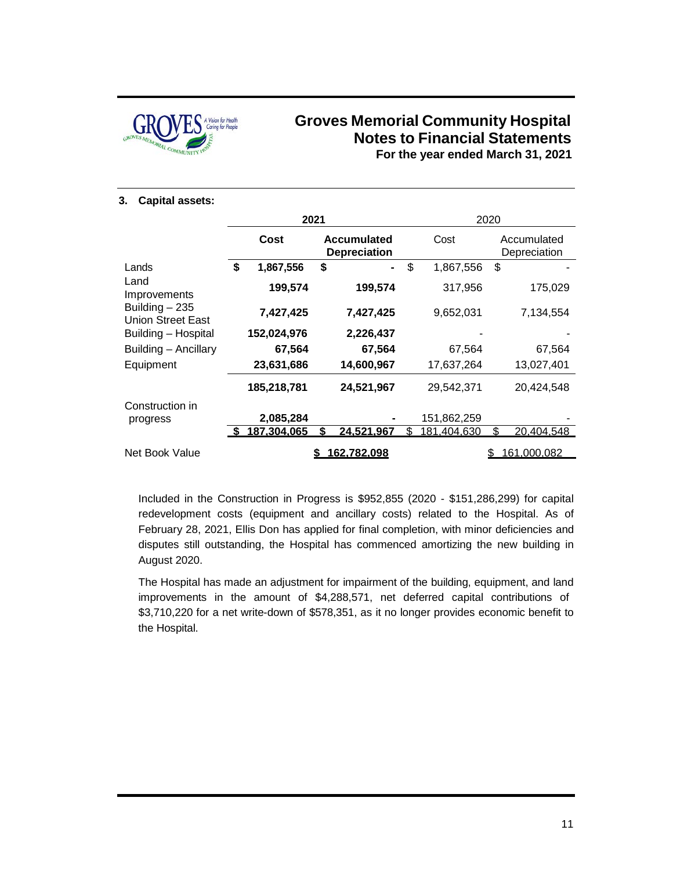

#### **3. Capital assets:**

|                                             | 2021 |             |    |                                           | 2020              |    |                             |
|---------------------------------------------|------|-------------|----|-------------------------------------------|-------------------|----|-----------------------------|
|                                             |      | Cost        |    | <b>Accumulated</b><br><b>Depreciation</b> | Cost              |    | Accumulated<br>Depreciation |
| Lands                                       | \$   | 1,867,556   | \$ | -                                         | \$<br>1,867,556   | \$ |                             |
| Land<br>Improvements                        |      | 199,574     |    | 199,574                                   | 317,956           |    | 175,029                     |
| Building $-235$<br><b>Union Street East</b> |      | 7,427,425   |    | 7,427,425                                 | 9,652,031         |    | 7,134,554                   |
| Building - Hospital                         |      | 152,024,976 |    | 2,226,437                                 |                   |    |                             |
| Building - Ancillary                        |      | 67,564      |    | 67,564                                    | 67,564            |    | 67,564                      |
| Equipment                                   |      | 23,631,686  |    | 14,600,967                                | 17,637,264        |    | 13,027,401                  |
|                                             |      | 185,218,781 |    | 24,521,967                                | 29,542,371        |    | 20,424,548                  |
| Construction in<br>progress                 |      | 2,085,284   |    |                                           | 151,862,259       |    |                             |
|                                             |      | 187,304,065 |    | <u>24,521,967</u>                         | \$<br>181,404,630 | \$ | 20,404,548                  |
| Net Book Value                              |      |             |    | 162.782.098                               |                   |    | 161,000,082                 |

Included in the Construction in Progress is \$952,855 (2020 - \$151,286,299) for capital redevelopment costs (equipment and ancillary costs) related to the Hospital. As of February 28, 2021, Ellis Don has applied for final completion, with minor deficiencies and disputes still outstanding, the Hospital has commenced amortizing the new building in August 2020.

The Hospital has made an adjustment for impairment of the building, equipment, and land improvements in the amount of \$4,288,571, net deferred capital contributions of \$3,710,220 for a net write-down of \$578,351, as it no longer provides economic benefit to the Hospital.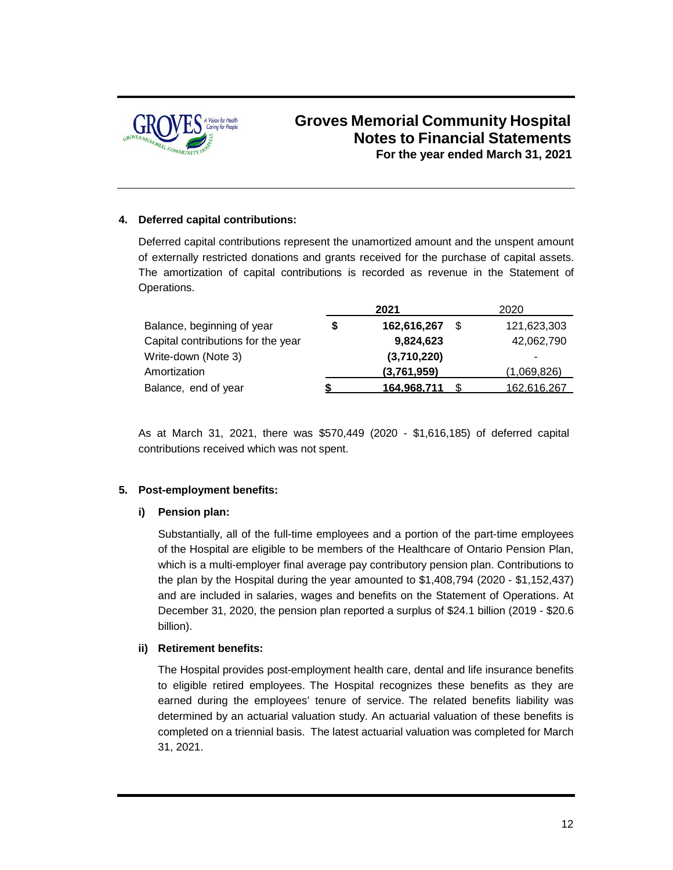

#### **4. Deferred capital contributions:**

Deferred capital contributions represent the unamortized amount and the unspent amount of externally restricted donations and grants received for the purchase of capital assets. The amortization of capital contributions is recorded as revenue in the Statement of Operations.

|                                    | 2021        |    | 2020        |
|------------------------------------|-------------|----|-------------|
| Balance, beginning of year         | 162,616,267 | .S | 121,623,303 |
| Capital contributions for the year | 9,824,623   |    | 42,062,790  |
| Write-down (Note 3)                | (3,710,220) |    | ۰           |
| Amortization                       | (3,761,959) |    | (1,069,826) |
| Balance, end of year               | 164.968.711 |    | 162.616.267 |

As at March 31, 2021, there was \$570,449 (2020 - \$1,616,185) of deferred capital contributions received which was not spent.

#### **5. Post-employment benefits:**

#### **i) Pension plan:**

Substantially, all of the full-time employees and a portion of the part-time employees of the Hospital are eligible to be members of the Healthcare of Ontario Pension Plan, which is a multi-employer final average pay contributory pension plan. Contributions to the plan by the Hospital during the year amounted to \$1,408,794 (2020 - \$1,152,437) and are included in salaries, wages and benefits on the Statement of Operations. At December 31, 2020, the pension plan reported a surplus of \$24.1 billion (2019 - \$20.6 billion).

#### **ii) Retirement benefits:**

The Hospital provides post-employment health care, dental and life insurance benefits to eligible retired employees. The Hospital recognizes these benefits as they are earned during the employees' tenure of service. The related benefits liability was determined by an actuarial valuation study. An actuarial valuation of these benefits is completed on a triennial basis. The latest actuarial valuation was completed for March 31, 2021.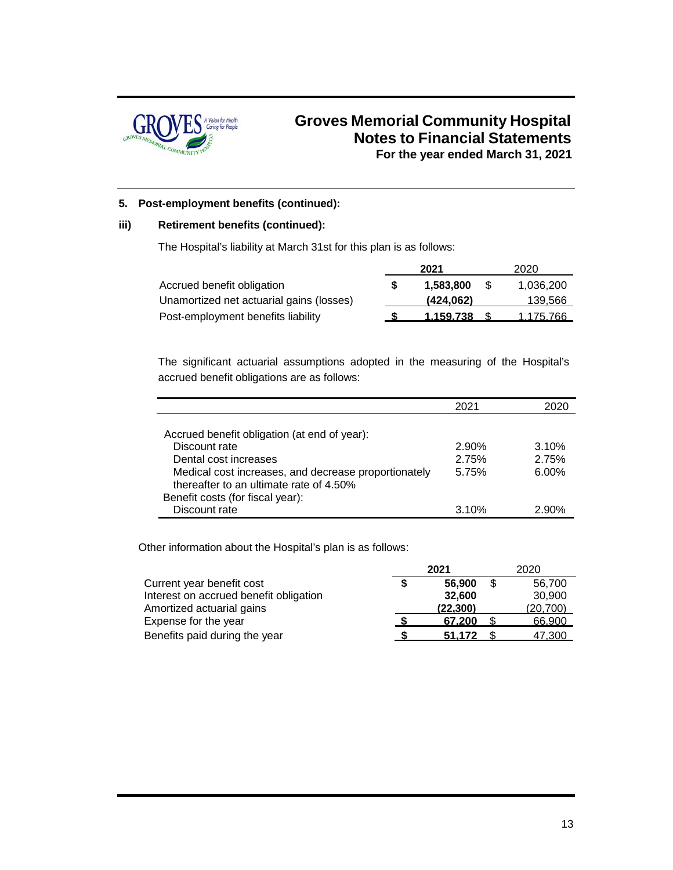

#### **5. Post-employment benefits (continued):**

#### **iii) Retirement benefits (continued):**

The Hospital's liability at March 31st for this plan is as follows:

|                                          | 2021      |     | 2020      |
|------------------------------------------|-----------|-----|-----------|
| Accrued benefit obligation               | 1.583.800 | -SS | 1,036,200 |
| Unamortized net actuarial gains (losses) | (424.062) |     | 139,566   |
| Post-employment benefits liability       | 1.159.738 |     | 1.175.766 |

The significant actuarial assumptions adopted in the measuring of the Hospital's accrued benefit obligations are as follows:

|                                                      | 2021  |          |
|------------------------------------------------------|-------|----------|
|                                                      |       |          |
| Accrued benefit obligation (at end of year):         |       |          |
| Discount rate                                        | 2.90% | 3.10%    |
| Dental cost increases                                | 2.75% | 2.75%    |
| Medical cost increases, and decrease proportionately | 5.75% | $6.00\%$ |
| thereafter to an ultimate rate of 4.50%              |       |          |
| Benefit costs (for fiscal year):                     |       |          |
| Discount rate                                        | 3.10% | 2.90%    |

Other information about the Hospital's plan is as follows:

|                                        | 2021 |           | 2020 |          |  |
|----------------------------------------|------|-----------|------|----------|--|
| Current year benefit cost              |      | 56,900    |      | 56.700   |  |
| Interest on accrued benefit obligation |      | 32.600    |      | 30.900   |  |
| Amortized actuarial gains              |      | (22, 300) |      | (20,700) |  |
| Expense for the year                   |      | 67.200    |      | 66,900   |  |
| Benefits paid during the year          |      | 51.172    |      | 47.300   |  |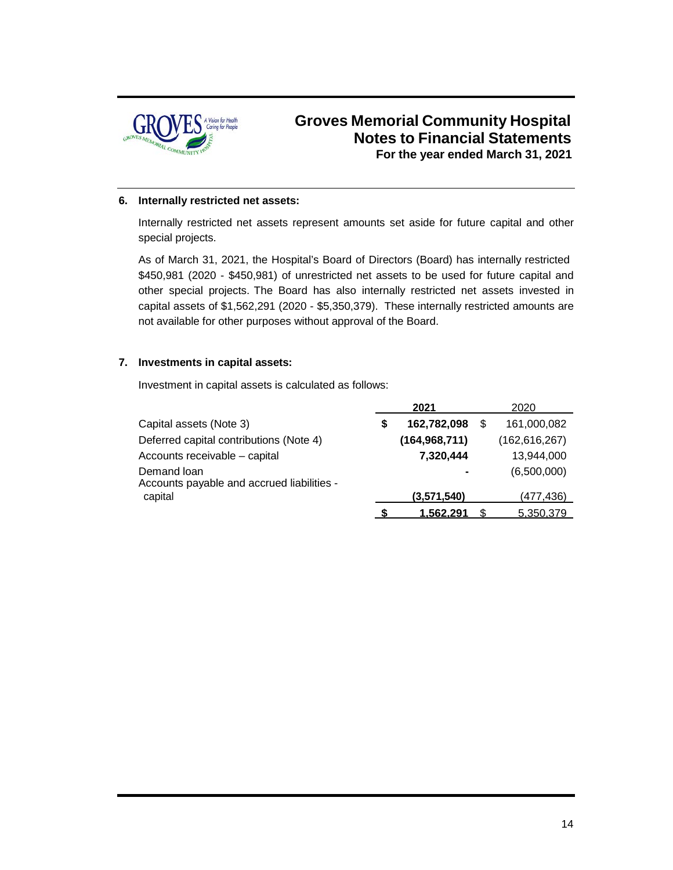

#### **6. Internally restricted net assets:**

Internally restricted net assets represent amounts set aside for future capital and other special projects.

As of March 31, 2021, the Hospital's Board of Directors (Board) has internally restricted \$450,981 (2020 - \$450,981) of unrestricted net assets to be used for future capital and other special projects. The Board has also internally restricted net assets invested in capital assets of \$1,562,291 (2020 - \$5,350,379). These internally restricted amounts are not available for other purposes without approval of the Board.

#### **7. Investments in capital assets:**

Investment in capital assets is calculated as follows:

|                                                           |   | 2021            | 2020            |
|-----------------------------------------------------------|---|-----------------|-----------------|
| Capital assets (Note 3)                                   | S | 162,782,098     | 161,000,082     |
| Deferred capital contributions (Note 4)                   |   | (164, 968, 711) | (162, 616, 267) |
| Accounts receivable - capital                             |   | 7,320,444       | 13,944,000      |
| Demand loan<br>Accounts payable and accrued liabilities - |   |                 | (6,500,000)     |
| capital                                                   |   | (3,571,540)     | (477,436)       |
|                                                           |   | 1.562.291       | 5.350.379       |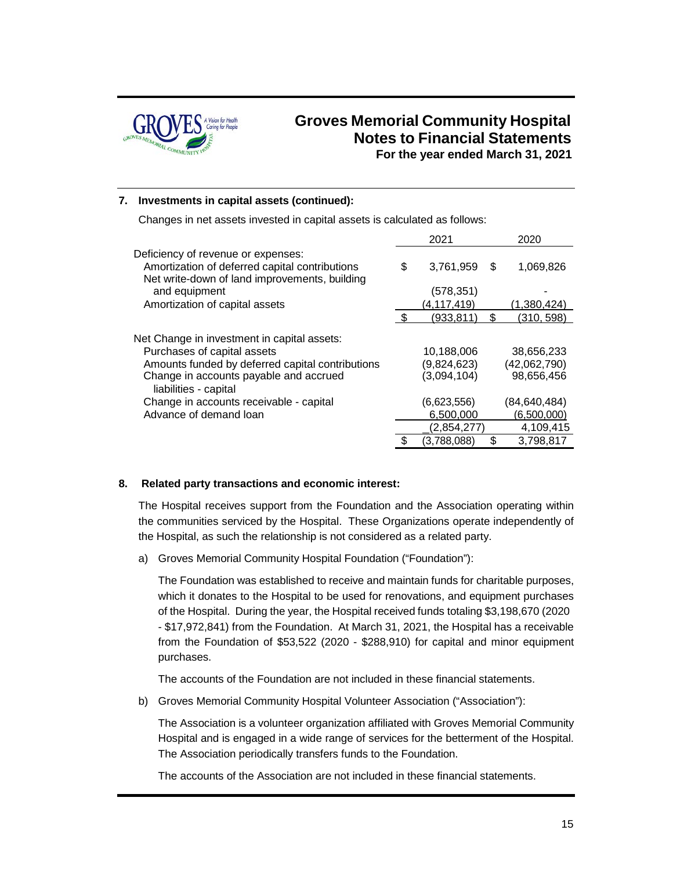

#### **7. Investments in capital assets (continued):**

Changes in net assets invested in capital assets is calculated as follows:

|                                                                                                                                       |     | 2021          |    | 2020           |
|---------------------------------------------------------------------------------------------------------------------------------------|-----|---------------|----|----------------|
| Deficiency of revenue or expenses:<br>Amortization of deferred capital contributions<br>Net write-down of land improvements, building | \$  | 3,761,959     | S  | 1,069,826      |
| and equipment                                                                                                                         |     | (578,351)     |    |                |
| Amortization of capital assets                                                                                                        |     | (4, 117, 419) |    | (1,380,424)    |
|                                                                                                                                       | -\$ | (933,811)     | \$ | (310, 598)     |
| Net Change in investment in capital assets:                                                                                           |     |               |    |                |
| Purchases of capital assets                                                                                                           |     | 10,188,006    |    | 38,656,233     |
| Amounts funded by deferred capital contributions                                                                                      |     | (9,824,623)   |    | (42,062,790)   |
| Change in accounts payable and accrued<br>liabilities - capital                                                                       |     | (3,094,104)   |    | 98,656,456     |
| Change in accounts receivable - capital                                                                                               |     | (6,623,556)   |    | (84, 640, 484) |
| Advance of demand loan                                                                                                                |     | 6,500,000     |    | (6,500,000)    |
|                                                                                                                                       |     | (2,854,277)   |    | 4,109,415      |
|                                                                                                                                       |     | (3,788,088)   |    | 3,798,817      |

#### **8. Related party transactions and economic interest:**

The Hospital receives support from the Foundation and the Association operating within the communities serviced by the Hospital. These Organizations operate independently of the Hospital, as such the relationship is not considered as a related party.

a) Groves Memorial Community Hospital Foundation ("Foundation"):

The Foundation was established to receive and maintain funds for charitable purposes, which it donates to the Hospital to be used for renovations, and equipment purchases of the Hospital. During the year, the Hospital received funds totaling \$3,198,670 (2020 - \$17,972,841) from the Foundation. At March 31, 2021, the Hospital has a receivable from the Foundation of \$53,522 (2020 - \$288,910) for capital and minor equipment purchases.

The accounts of the Foundation are not included in these financial statements.

b) Groves Memorial Community Hospital Volunteer Association ("Association"):

The Association is a volunteer organization affiliated with Groves Memorial Community Hospital and is engaged in a wide range of services for the betterment of the Hospital. The Association periodically transfers funds to the Foundation.

The accounts of the Association are not included in these financial statements.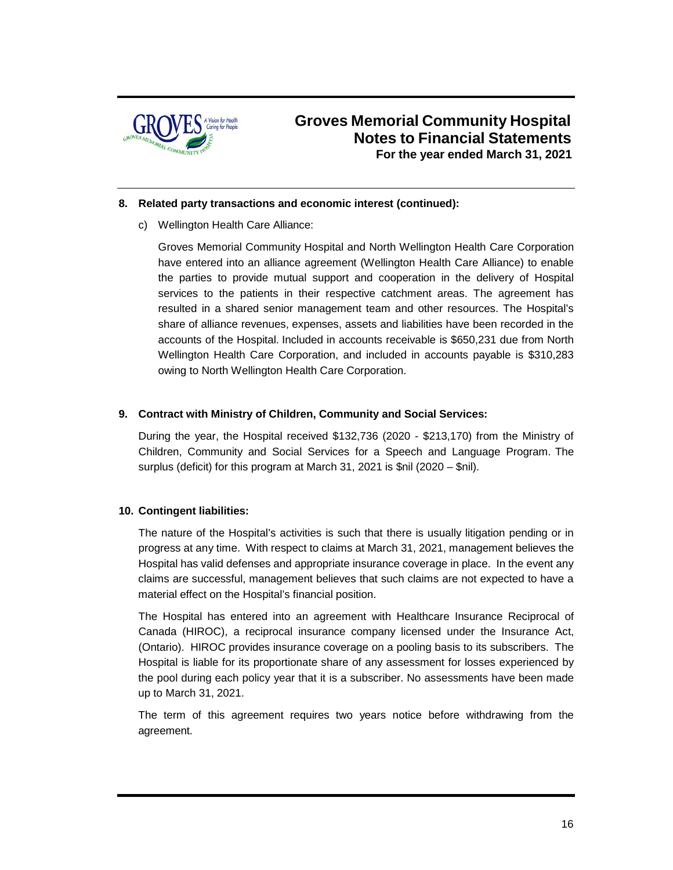

#### **8. Related party transactions and economic interest (continued):**

c) Wellington Health Care Alliance:

Groves Memorial Community Hospital and North Wellington Health Care Corporation have entered into an alliance agreement (Wellington Health Care Alliance) to enable the parties to provide mutual support and cooperation in the delivery of Hospital services to the patients in their respective catchment areas. The agreement has resulted in a shared senior management team and other resources. The Hospital's share of alliance revenues, expenses, assets and liabilities have been recorded in the accounts of the Hospital. Included in accounts receivable is \$650,231 due from North Wellington Health Care Corporation, and included in accounts payable is \$310,283 owing to North Wellington Health Care Corporation.

#### **9. Contract with Ministry of Children, Community and Social Services:**

During the year, the Hospital received \$132,736 (2020 - \$213,170) from the Ministry of Children, Community and Social Services for a Speech and Language Program. The surplus (deficit) for this program at March 31, 2021 is \$nil (2020 – \$nil).

#### **10. Contingent liabilities:**

The nature of the Hospital's activities is such that there is usually litigation pending or in progress at any time. With respect to claims at March 31, 2021, management believes the Hospital has valid defenses and appropriate insurance coverage in place. In the event any claims are successful, management believes that such claims are not expected to have a material effect on the Hospital's financial position.

The Hospital has entered into an agreement with Healthcare Insurance Reciprocal of Canada (HIROC), a reciprocal insurance company licensed under the Insurance Act, (Ontario). HIROC provides insurance coverage on a pooling basis to its subscribers. The Hospital is liable for its proportionate share of any assessment for losses experienced by the pool during each policy year that it is a subscriber. No assessments have been made up to March 31, 2021.

The term of this agreement requires two years notice before withdrawing from the agreement.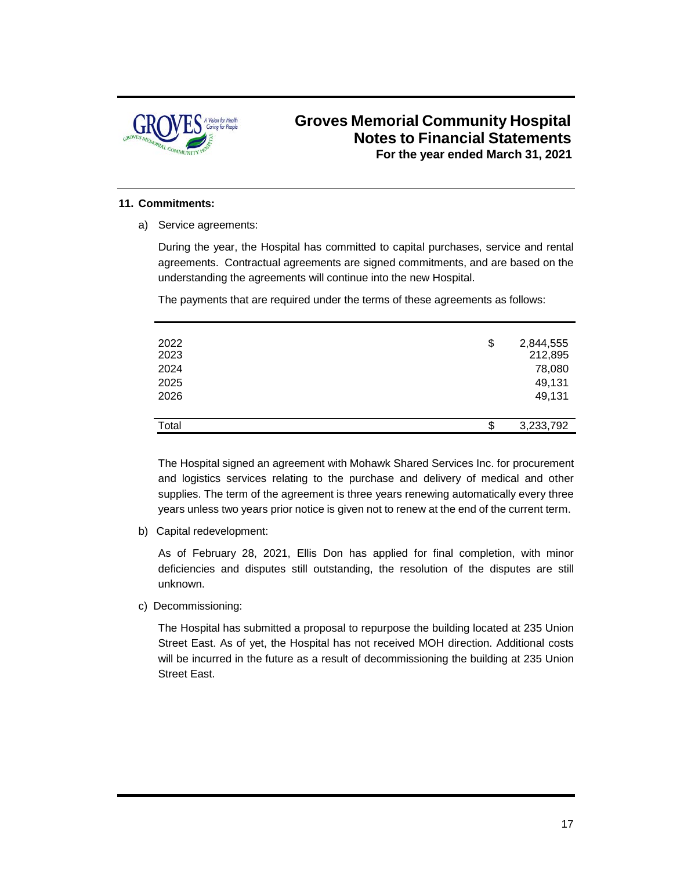

#### **11. Commitments:**

a) Service agreements:

During the year, the Hospital has committed to capital purchases, service and rental agreements. Contractual agreements are signed commitments, and are based on the understanding the agreements will continue into the new Hospital.

The payments that are required under the terms of these agreements as follows:

| 2022<br>2023<br>2024<br>2025<br>2026 | \$<br>2,844,555<br>212,895<br>78,080<br>49,131<br>49,131 |
|--------------------------------------|----------------------------------------------------------|
| Total                                | \$<br>3,233,792                                          |

The Hospital signed an agreement with Mohawk Shared Services Inc. for procurement and logistics services relating to the purchase and delivery of medical and other supplies. The term of the agreement is three years renewing automatically every three years unless two years prior notice is given not to renew at the end of the current term.

b) Capital redevelopment:

As of February 28, 2021, Ellis Don has applied for final completion, with minor deficiencies and disputes still outstanding, the resolution of the disputes are still unknown.

c) Decommissioning:

The Hospital has submitted a proposal to repurpose the building located at 235 Union Street East. As of yet, the Hospital has not received MOH direction. Additional costs will be incurred in the future as a result of decommissioning the building at 235 Union Street East.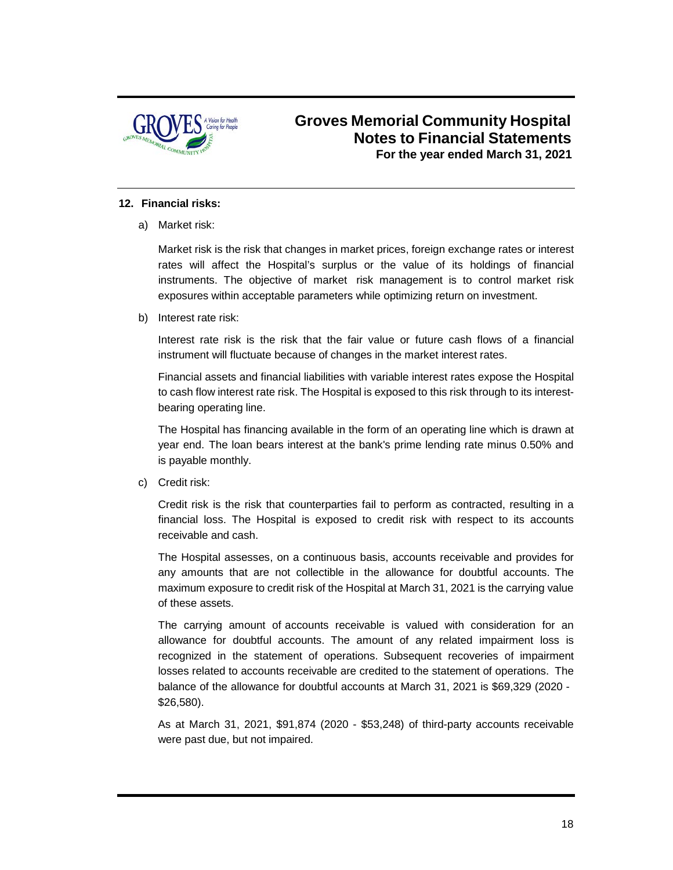

#### **12. Financial risks:**

a) Market risk:

Market risk is the risk that changes in market prices, foreign exchange rates or interest rates will affect the Hospital's surplus or the value of its holdings of financial instruments. The objective of market risk management is to control market risk exposures within acceptable parameters while optimizing return on investment.

b) Interest rate risk:

Interest rate risk is the risk that the fair value or future cash flows of a financial instrument will fluctuate because of changes in the market interest rates.

Financial assets and financial liabilities with variable interest rates expose the Hospital to cash flow interest rate risk. The Hospital is exposed to this risk through to its interestbearing operating line.

The Hospital has financing available in the form of an operating line which is drawn at year end. The loan bears interest at the bank's prime lending rate minus 0.50% and is payable monthly.

c) Credit risk:

Credit risk is the risk that counterparties fail to perform as contracted, resulting in a financial loss. The Hospital is exposed to credit risk with respect to its accounts receivable and cash.

The Hospital assesses, on a continuous basis, accounts receivable and provides for any amounts that are not collectible in the allowance for doubtful accounts. The maximum exposure to credit risk of the Hospital at March 31, 2021 is the carrying value of these assets.

The carrying amount of accounts receivable is valued with consideration for an allowance for doubtful accounts. The amount of any related impairment loss is recognized in the statement of operations. Subsequent recoveries of impairment losses related to accounts receivable are credited to the statement of operations. The balance of the allowance for doubtful accounts at March 31, 2021 is \$69,329 (2020 - \$26,580).

As at March 31, 2021, \$91,874 (2020 - \$53,248) of third-party accounts receivable were past due, but not impaired.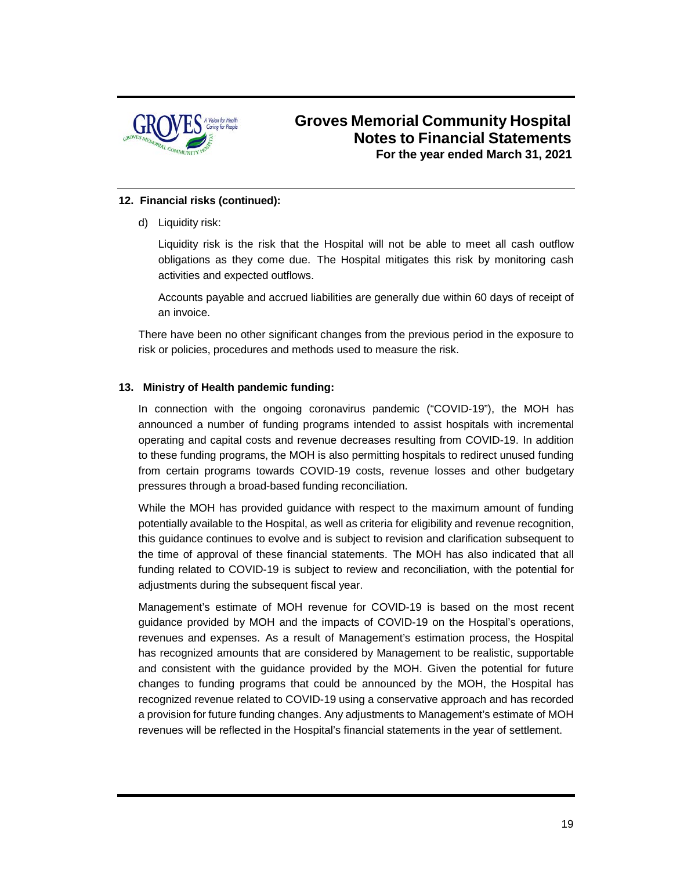

#### **12. Financial risks (continued):**

d) Liquidity risk:

Liquidity risk is the risk that the Hospital will not be able to meet all cash outflow obligations as they come due. The Hospital mitigates this risk by monitoring cash activities and expected outflows.

Accounts payable and accrued liabilities are generally due within 60 days of receipt of an invoice.

There have been no other significant changes from the previous period in the exposure to risk or policies, procedures and methods used to measure the risk.

#### **13. Ministry of Health pandemic funding:**

In connection with the ongoing coronavirus pandemic ("COVID-19"), the MOH has announced a number of funding programs intended to assist hospitals with incremental operating and capital costs and revenue decreases resulting from COVID-19. In addition to these funding programs, the MOH is also permitting hospitals to redirect unused funding from certain programs towards COVID-19 costs, revenue losses and other budgetary pressures through a broad-based funding reconciliation.

While the MOH has provided guidance with respect to the maximum amount of funding potentially available to the Hospital, as well as criteria for eligibility and revenue recognition, this guidance continues to evolve and is subject to revision and clarification subsequent to the time of approval of these financial statements. The MOH has also indicated that all funding related to COVID-19 is subject to review and reconciliation, with the potential for adjustments during the subsequent fiscal year.

Management's estimate of MOH revenue for COVID-19 is based on the most recent guidance provided by MOH and the impacts of COVID-19 on the Hospital's operations, revenues and expenses. As a result of Management's estimation process, the Hospital has recognized amounts that are considered by Management to be realistic, supportable and consistent with the guidance provided by the MOH. Given the potential for future changes to funding programs that could be announced by the MOH, the Hospital has recognized revenue related to COVID-19 using a conservative approach and has recorded a provision for future funding changes. Any adjustments to Management's estimate of MOH revenues will be reflected in the Hospital's financial statements in the year of settlement.